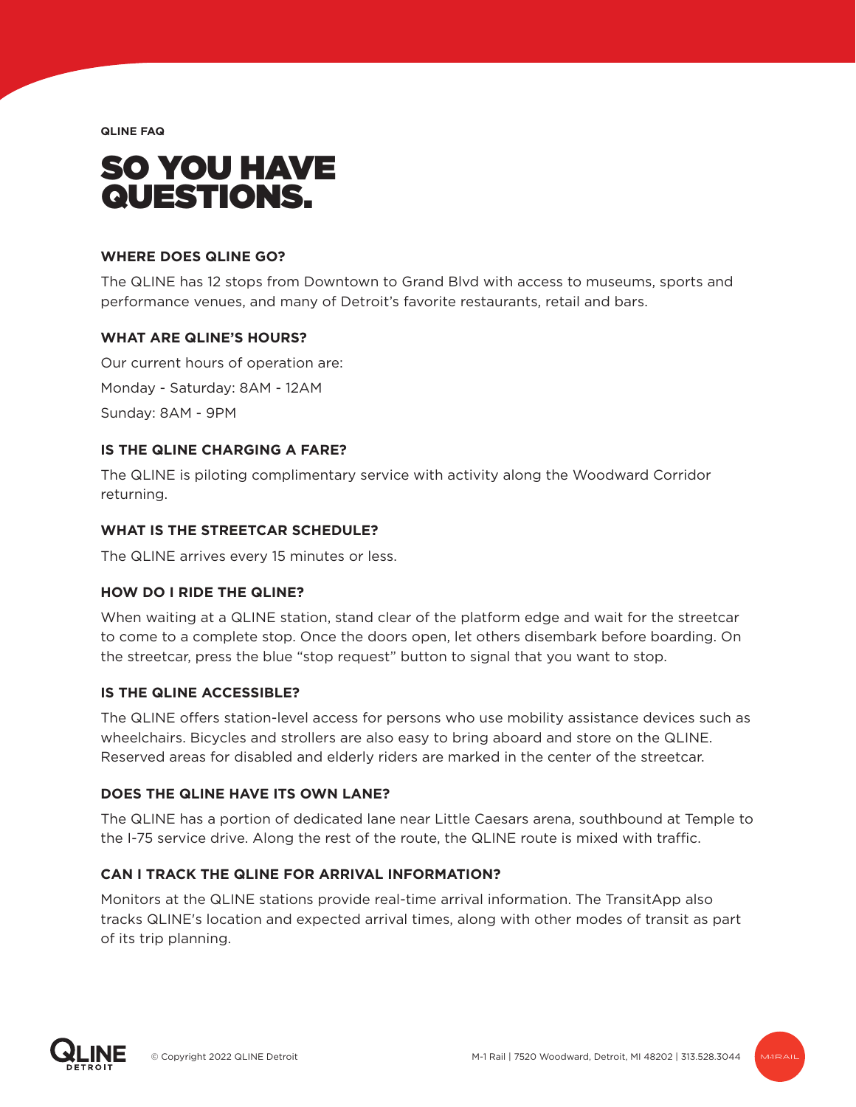**QLINE FAQ**

# SO YOU HAVE QUESTIONS.

#### **WHERE DOES QLINE GO?**

The QLINE has 12 stops from Downtown to Grand Blvd with access to museums, sports and performance venues, and many of Detroit's favorite restaurants, retail and bars.

#### **WHAT ARE QLINE'S HOURS?**

Our current hours of operation are: Monday - Saturday: 8AM - 12AM Sunday: 8AM - 9PM

## **IS THE QLINE CHARGING A FARE?**

The QLINE is piloting complimentary service with activity along the Woodward Corridor returning.

#### **WHAT IS THE STREETCAR SCHEDULE?**

The QLINE arrives every 15 minutes or less.

## **HOW DO I RIDE THE QLINE?**

When waiting at a QLINE station, stand clear of the platform edge and wait for the streetcar to come to a complete stop. Once the doors open, let others disembark before boarding. On the streetcar, press the blue "stop request" button to signal that you want to stop.

#### **IS THE QLINE ACCESSIBLE?**

The QLINE offers station-level access for persons who use mobility assistance devices such as wheelchairs. Bicycles and strollers are also easy to bring aboard and store on the QLINE. Reserved areas for disabled and elderly riders are marked in the center of the streetcar.

## **DOES THE QLINE HAVE ITS OWN LANE?**

The QLINE has a portion of dedicated lane near Little Caesars arena, southbound at Temple to the I-75 service drive. Along the rest of the route, the QLINE route is mixed with traffic.

## **CAN I TRACK THE QLINE FOR ARRIVAL INFORMATION?**

Monitors at the QLINE stations provide real-time arrival information. The TransitApp also tracks QLINE's location and expected arrival times, along with other modes of transit as part of its trip planning.